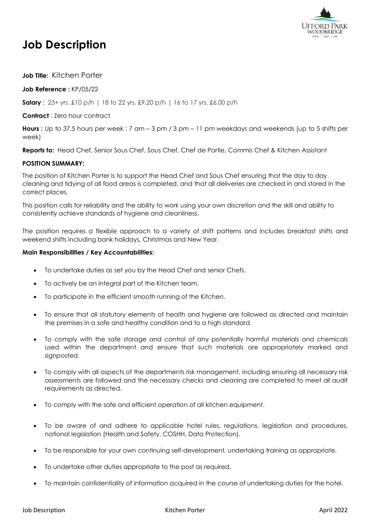

# **Job Description**

**Job Title:** Kitchen Porter

**Job Reference :** KP/05/22

**Salary** : 23+ yrs. £10 p/h | 18 to 22 yrs. £9.20 p/h | 16 to 17 yrs. £6.00 p/h

**Contract** : Zero hour contract

**Hours :** Up to 37.5 hours per week : 7 am – 3 pm / 3 pm – 11 pm weekdays and weekends (up to 5 shifts per week)

**Reports to:** Head Chef, Senior Sous Chef, Sous Chef, Chef de Partie, Commis Chef & Kitchen Assistant

# **POSITION SUMMARY:**

The position of Kitchen Porter is to support the Head Chef and Sous Chef ensuring that the day to day cleaning and tidying of all food areas is completed, and that all deliveries are checked in and stored in the correct places.

This position calls for reliability and the ability to work using your own discretion and the skill and ability to consistently achieve standards of hygiene and cleanliness.

The position requires a flexible approach to a variety of shift patterns and includes breakfast shifts and weekend shifts including bank holidays, Christmas and New Year.

# **Main Responsibilities / Key Accountabilities:**

- To undertake duties as set you by the Head Chef and senior Chefs.
- To actively be an integral part of the Kitchen team.
- To participate in the efficient smooth running of the Kitchen.
- To ensure that all statutory elements of health and hygiene are followed as directed and maintain the premises in a safe and healthy condition and to a high standard.
- To comply with the safe storage and control of any potentially harmful materials and chemicals used within the department and ensure that such materials are appropriately marked and signposted.
- To comply with all aspects of the departments risk management, including ensuring all necessary risk assessments are followed and the necessary checks and cleaning are completed to meet all audit requirements as directed.
- To comply with the safe and efficient operation of all kitchen equipment.
- To be aware of and adhere to applicable hotel rules, regulations, legislation and procedures, national legislation (Health and Safety, COSHH, Data Protection).
- To be responsible for your own continuing self-development, undertaking training as appropriate.
- To undertake other duties appropriate to the post as required.
- To maintain confidentiality of information acquired in the course of undertaking duties for the hotel.